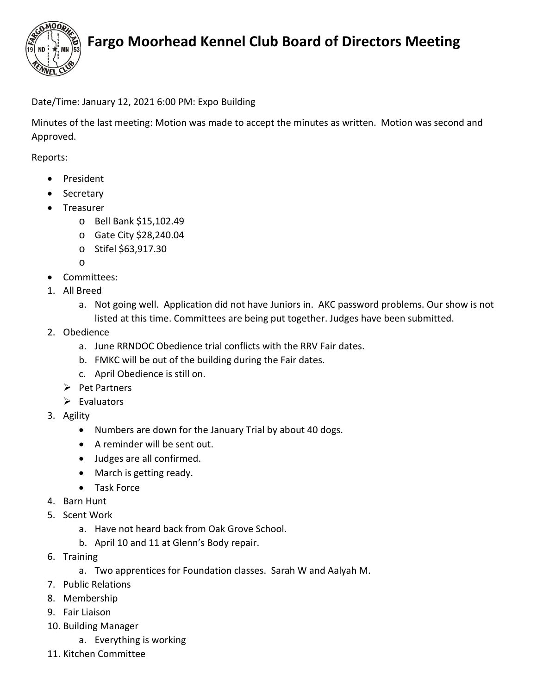

## **Fargo Moorhead Kennel Club Board of Directors Meeting**

## Date/Time: January 12, 2021 6:00 PM: Expo Building

Minutes of the last meeting: Motion was made to accept the minutes as written. Motion was second and Approved.

Reports:

- President
- Secretary
- Treasurer
	- o Bell Bank \$15,102.49
	- o Gate City \$28,240.04
	- o Stifel \$63,917.30
	- o
- Committees:
- 1. All Breed
	- a. Not going well. Application did not have Juniors in. AKC password problems. Our show is not listed at this time. Committees are being put together. Judges have been submitted.
- 2. Obedience
	- a. June RRNDOC Obedience trial conflicts with the RRV Fair dates.
	- b. FMKC will be out of the building during the Fair dates.
	- c. April Obedience is still on.
	- $\triangleright$  Pet Partners
	- $\triangleright$  Evaluators
- 3. Agility
	- Numbers are down for the January Trial by about 40 dogs.
	- A reminder will be sent out.
	- Judges are all confirmed.
	- March is getting ready.
	- Task Force
- 4. Barn Hunt
- 5. Scent Work
	- a. Have not heard back from Oak Grove School.
	- b. April 10 and 11 at Glenn's Body repair.
- 6. Training
	- a. Two apprentices for Foundation classes. Sarah W and Aalyah M.
- 7. Public Relations
- 8. Membership
- 9. Fair Liaison
- 10. Building Manager
	- a. Everything is working
- 11. Kitchen Committee